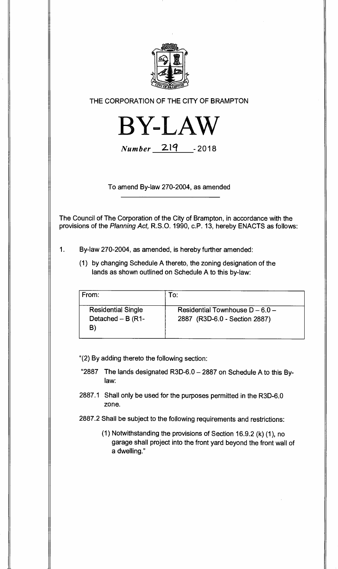

## **THE CORPORATION OF THE CITY OF BRAMPTON**



 $Number 219 -2018$ 

**To amend By-law 270-2004, as amended** 

**The Council of The Corporation of the City of Brampton, in accordance with the provisions of the Planning Act, R.S.O. 1990, c.P. 13, hereby ENACTS as follows:** 

- **1. By-law 270-2004, as amended, is hereby further amended:** 
	- **(1) by changing Schedule A thereto, the zoning designation of the lands as shown outlined on Schedule A to this by-law:**

| From:                                                   | To:                                                                |
|---------------------------------------------------------|--------------------------------------------------------------------|
| <b>Residential Single</b><br>Detached $- B (R1 -$<br>B' | Residential Townhouse $D - 6.0 -$<br>2887 (R3D-6.0 - Section 2887) |

**"(2) By adding thereto the following section:** 

- **"2887 The lands designated R3D-6.0 2887 on Schedule A to this Bylaw:**
- **2887.1 Shall only be used for the purposes permitted in the R3D-6.0 zone.**
- **2887.2 Shall be subject to the following requirements and restrictions:** 
	- **(1) Notwithstanding the provisions of Section 16.9.2 (k) (1), no garage shall project into the front yard beyond the front wall of a dwelling."**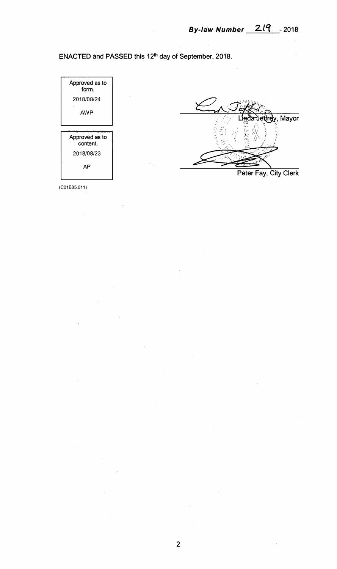**ENACTED and PASSED this 12th day of September, 2018.** 



(CO1E05.011)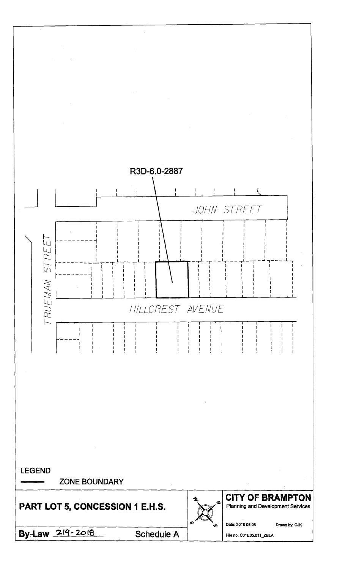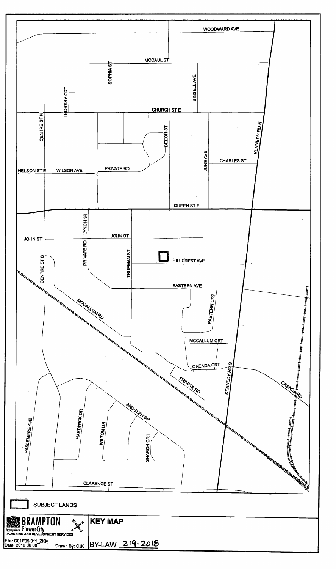